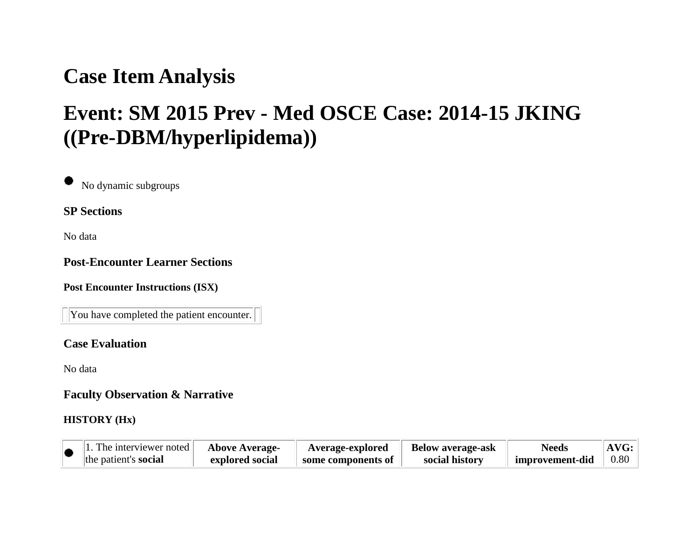# **Case Item Analysis**

# **Event: SM 2015 Prev - Med OSCE Case: 2014-15 JKING ((Pre-DBM/hyperlipidema))**

No dynamic subgroups

**SP Sections**

No data

#### **Post-Encounter Learner Sections**

**Post Encounter Instructions (ISX)**

You have completed the patient encounter.

#### **Case Evaluation**

No data

**Faculty Observation & Narrative**

#### **HISTORY (Hx)**

| $\mathbf{u}$ . The interviewer noted $\mathbf{u}$ | <b>Above Average-</b> | Average-explored   | <b>Below average-ask</b> | <b>Needs</b>    | AVG: |
|---------------------------------------------------|-----------------------|--------------------|--------------------------|-----------------|------|
| the patient's <b>social</b>                       | explored social       | some components of | social history           | improvement-did | 0.80 |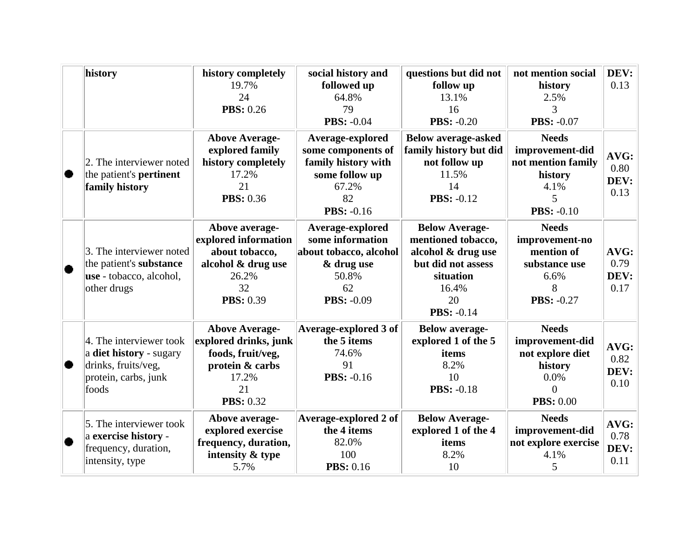|           | history                                                                                                    | history completely<br>19.7%<br>24<br><b>PBS: 0.26</b>                                                                     | social history and<br>followed up<br>64.8%<br>79<br><b>PBS: -0.04</b>                                               | questions but did not<br>follow up<br>13.1%<br>16<br><b>PBS: -0.20</b>                                                                   | not mention social<br>history<br>2.5%<br>3<br><b>PBS: -0.07</b>                                        | DEV:<br>0.13                 |
|-----------|------------------------------------------------------------------------------------------------------------|---------------------------------------------------------------------------------------------------------------------------|---------------------------------------------------------------------------------------------------------------------|------------------------------------------------------------------------------------------------------------------------------------------|--------------------------------------------------------------------------------------------------------|------------------------------|
|           | 2. The interviewer noted<br>the patient's <b>pertinent</b><br>family history                               | <b>Above Average-</b><br>explored family<br>history completely<br>17.2%<br>21<br><b>PBS: 0.36</b>                         | Average-explored<br>some components of<br>family history with<br>some follow up<br>67.2%<br>82<br><b>PBS: -0.16</b> | <b>Below average-asked</b><br>family history but did<br>not follow up<br>11.5%<br>14<br><b>PBS: -0.12</b>                                | <b>Needs</b><br>improvement-did<br>not mention family<br>history<br>4.1%<br>5<br><b>PBS: -0.10</b>     | AVG:<br>0.80<br>DEV:<br>0.13 |
| $\bullet$ | 3. The interviewer noted<br>the patient's substance<br>use - tobacco, alcohol,<br>other drugs              | Above average-<br>explored information<br>about tobacco,<br>alcohol & drug use<br>26.2%<br>32<br><b>PBS: 0.39</b>         | Average-explored<br>some information<br>about tobacco, alcohol<br>& drug use<br>50.8%<br>62<br><b>PBS: -0.09</b>    | <b>Below Average-</b><br>mentioned tobacco,<br>alcohol & drug use<br>but did not assess<br>situation<br>16.4%<br>20<br><b>PBS: -0.14</b> | <b>Needs</b><br>improvement-no<br>mention of<br>substance use<br>6.6%<br>8<br><b>PBS: -0.27</b>        | AVG:<br>0.79<br>DEV:<br>0.17 |
|           | 4. The interviewer took<br>a diet history - sugary<br>drinks, fruits/veg,<br>protein, carbs, junk<br>foods | <b>Above Average-</b><br>explored drinks, junk<br>foods, fruit/veg,<br>protein & carbs<br>17.2%<br>21<br><b>PBS: 0.32</b> | Average-explored 3 of<br>the 5 items<br>74.6%<br>91<br><b>PBS: -0.16</b>                                            | <b>Below average-</b><br>explored 1 of the 5<br>items<br>8.2%<br>10<br><b>PBS: -0.18</b>                                                 | <b>Needs</b><br>improvement-did<br>not explore diet<br>history<br>0.0%<br>$\theta$<br><b>PBS: 0.00</b> | AVG:<br>0.82<br>DEV:<br>0.10 |
| ۰         | 5. The interviewer took<br>a exercise history -<br>frequency, duration,<br>intensity, type                 | Above average-<br>explored exercise<br>frequency, duration,<br>intensity & type<br>5.7%                                   | <b>Average-explored 2 of</b><br>the 4 items<br>82.0%<br>100<br><b>PBS:</b> 0.16                                     | <b>Below Average-</b><br>explored 1 of the 4<br>items<br>8.2%<br>10                                                                      | <b>Needs</b><br>improvement-did<br>not explore exercise<br>4.1%<br>5                                   | AVG:<br>0.78<br>DEV:<br>0.11 |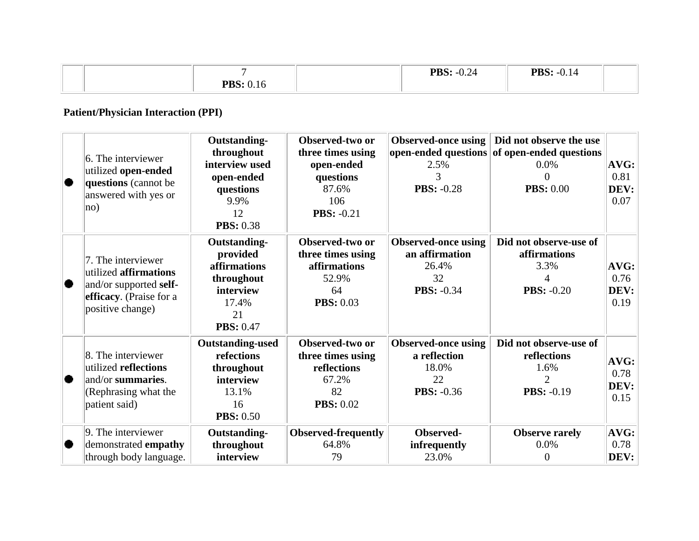|                                        | PBS:<br>$\bigcap$ $\bigcap$ $\bigcap$<br>$-0.24$ | $\bigcap$ 1<br>$\mathbf{D} \mathbf{C}$ .<br>J.I4<br>765. |  |
|----------------------------------------|--------------------------------------------------|----------------------------------------------------------|--|
| $\mathbf{n}\mathbf{n}$ $\alpha$<br>-10 |                                                  |                                                          |  |

# **Patient/Physician Interaction (PPI)**

| 6. The interviewer<br>utilized open-ended<br>questions (cannot be<br>answered with yes or<br>$ no\rangle$            | <b>Outstanding-</b><br>throughout<br>interview used<br>open-ended<br>questions<br>9.9%<br>12<br><b>PBS: 0.38</b> | Observed-two or<br>three times using<br>open-ended<br>questions<br>87.6%<br>106<br><b>PBS: -0.21</b> | Observed-once using<br>2.5%<br>3<br><b>PBS: -0.28</b>                            | Did not observe the use<br>open-ended questions of open-ended questions<br>0.0%<br>0<br><b>PBS: 0.00</b> | AVG:<br>0.81<br>DEV:<br>0.07    |
|----------------------------------------------------------------------------------------------------------------------|------------------------------------------------------------------------------------------------------------------|------------------------------------------------------------------------------------------------------|----------------------------------------------------------------------------------|----------------------------------------------------------------------------------------------------------|---------------------------------|
| 7. The interviewer<br>utilized affirmations<br>and/or supported self-<br>efficacy. (Praise for a<br>positive change) | Outstanding-<br>provided<br>affirmations<br>throughout<br>interview<br>17.4%<br>21<br><b>PBS: 0.47</b>           | Observed-two or<br>three times using<br>affirmations<br>52.9%<br>64<br><b>PBS: 0.03</b>              | <b>Observed-once using</b><br>an affirmation<br>26.4%<br>32<br><b>PBS: -0.34</b> | Did not observe-use of<br>affirmations<br>3.3%<br><b>PBS: -0.20</b>                                      | $AVG$ :<br>0.76<br>DEV:<br>0.19 |
| 8. The interviewer<br>utilized reflections<br>and/or summaries.<br>(Rephrasing what the<br>patient said)             | <b>Outstanding-used</b><br>refections<br>throughout<br>interview<br>13.1%<br>16<br><b>PBS: 0.50</b>              | Observed-two or<br>three times using<br>reflections<br>67.2%<br>82<br><b>PBS: 0.02</b>               | <b>Observed-once using</b><br>a reflection<br>18.0%<br>22<br><b>PBS: -0.36</b>   | Did not observe-use of<br>reflections<br>1.6%<br>2<br><b>PBS: -0.19</b>                                  | AVG:<br>0.78<br>DEV:<br>0.15    |
| $\vert$ 9. The interviewer<br>demonstrated empathy<br>through body language.                                         | <b>Outstanding-</b><br>throughout<br>interview                                                                   | <b>Observed-frequently</b><br>64.8%<br>79                                                            | Observed-<br>infrequently<br>23.0%                                               | <b>Observe rarely</b><br>0.0%<br>0                                                                       | $AVG$ :<br>0.78<br>DEV:         |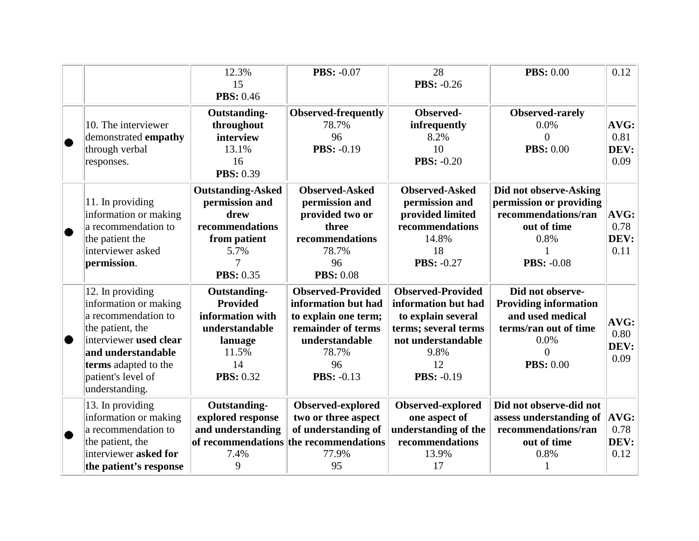|   |                                                                                                                                                                                                      | 12.3%<br>15<br><b>PBS: 0.46</b>                                                                                        | <b>PBS: -0.07</b>                                                                                                                                   | 28<br><b>PBS: -0.26</b>                                                                                                                                | <b>PBS: 0.00</b>                                                                                                               | 0.12                                |
|---|------------------------------------------------------------------------------------------------------------------------------------------------------------------------------------------------------|------------------------------------------------------------------------------------------------------------------------|-----------------------------------------------------------------------------------------------------------------------------------------------------|--------------------------------------------------------------------------------------------------------------------------------------------------------|--------------------------------------------------------------------------------------------------------------------------------|-------------------------------------|
|   | 10. The interviewer<br>demonstrated empathy<br>through verbal<br>responses.                                                                                                                          | Outstanding-<br>throughout<br>interview<br>13.1%<br>16<br><b>PBS: 0.39</b>                                             | <b>Observed-frequently</b><br>78.7%<br>96<br><b>PBS: -0.19</b>                                                                                      | Observed-<br>infrequently<br>8.2%<br>10<br><b>PBS: -0.20</b>                                                                                           | Observed-rarely<br>0.0%<br>$\Omega$<br><b>PBS: 0.00</b>                                                                        | AVG:<br>0.81<br>DEV:<br>0.09        |
|   | 11. In providing<br>information or making<br>a recommendation to<br>the patient the<br>interviewer asked<br>permission.                                                                              | <b>Outstanding-Asked</b><br>permission and<br>drew<br>recommendations<br>from patient<br>5.7%<br>7<br><b>PBS: 0.35</b> | <b>Observed-Asked</b><br>permission and<br>provided two or<br>three<br>recommendations<br>78.7%<br>96<br><b>PBS: 0.08</b>                           | <b>Observed-Asked</b><br>permission and<br>provided limited<br>recommendations<br>14.8%<br>18<br><b>PBS: -0.27</b>                                     | Did not observe-Asking<br>permission or providing<br>recommendations/ran<br>out of time<br>0.8%<br><b>PBS: -0.08</b>           | $\bf{AVG:}$<br>0.78<br>DEV:<br>0.11 |
| ۰ | 12. In providing<br>information or making<br>a recommendation to<br>the patient, the<br>interviewer used clear<br>and understandable<br>terms adapted to the<br>patient's level of<br>understanding. | Outstanding-<br><b>Provided</b><br>information with<br>understandable<br>lanuage<br>11.5%<br>14<br><b>PBS: 0.32</b>    | <b>Observed-Provided</b><br>information but had<br>to explain one term;<br>remainder of terms<br>understandable<br>78.7%<br>96<br><b>PBS: -0.13</b> | <b>Observed-Provided</b><br>information but had<br>to explain several<br>terms; several terms<br>not understandable<br>9.8%<br>12<br><b>PBS: -0.19</b> | Did not observe-<br><b>Providing information</b><br>and used medical<br>terms/ran out of time<br>0.0%<br>0<br><b>PBS: 0.00</b> | AVG:<br>0.80<br>DEV:<br>0.09        |
|   | 13. In providing<br>information or making<br>a recommendation to<br>the patient, the<br>interviewer asked for<br>the patient's response                                                              | <b>Outstanding-</b><br>explored response<br>and understanding<br>7.4%<br>9                                             | Observed-explored<br>two or three aspect<br>of understanding of<br>of recommendations the recommendations<br>77.9%<br>95                            | Observed-explored<br>one aspect of<br>understanding of the<br>recommendations<br>13.9%<br>17                                                           | Did not observe-did not<br>assess understanding of<br>recommendations/ran<br>out of time<br>0.8%                               | $\bf{AVG:}$<br>0.78<br>DEV:<br>0.12 |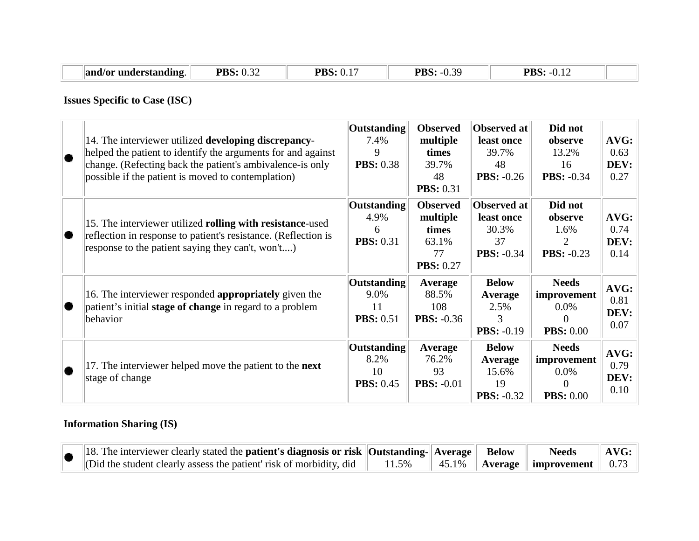| and/or<br>· understanding. | . $0.22$<br><b>PBS</b><br>$\mathsf{U} \cdot \mathsf{U}$ | – "P⊾<br>v.i | PBS<br>ገ 20<br>- 1 -<br>$\mathsf{v}\mathsf{v}$ | DЪ<br>0.14<br>DO. |  |
|----------------------------|---------------------------------------------------------|--------------|------------------------------------------------|-------------------|--|
|                            |                                                         |              |                                                |                   |  |

## **Issues Specific to Case (ISC)**

| 14. The interviewer utilized developing discrepancy-<br>helped the patient to identify the arguments for and against<br>change. (Refecting back the patient's ambivalence-is only<br>possible if the patient is moved to contemplation) | Outstanding<br>7.4%<br>9<br><b>PBS: 0.38</b>         | <b>Observed</b><br>multiple<br>times<br>39.7%<br>48<br><b>PBS: 0.31</b> | Observed at<br>least once<br>39.7%<br>48<br><b>PBS:</b> $-0.26$ | Did not<br>observe<br>13.2%<br>16<br><b>PBS: -0.34</b>                 | AVG:<br>0.63<br>DEV:<br>0.27 |
|-----------------------------------------------------------------------------------------------------------------------------------------------------------------------------------------------------------------------------------------|------------------------------------------------------|-------------------------------------------------------------------------|-----------------------------------------------------------------|------------------------------------------------------------------------|------------------------------|
| 15. The interviewer utilized rolling with resistance-used<br>reflection in response to patient's resistance. (Reflection is<br>response to the patient saying they can't, won't)                                                        | <b>Outstanding</b><br>4.9%<br>6<br><b>PBS: 0.31</b>  | <b>Observed</b><br>multiple<br>times<br>63.1%<br>77<br><b>PBS: 0.27</b> | Observed at<br>least once<br>30.3%<br>37<br><b>PBS: -0.34</b>   | Did not<br>observe<br>1.6%<br>$\overline{2}$<br><b>PBS:</b> $-0.23$    | AVG:<br>0.74<br>DEV:<br>0.14 |
| 16. The interviewer responded appropriately given the<br>patient's initial stage of change in regard to a problem<br>behavior                                                                                                           | <b>Outstanding</b><br>9.0%<br>11<br><b>PBS: 0.51</b> | Average<br>88.5%<br>108<br><b>PBS: -0.36</b>                            | <b>Below</b><br>Average<br>2.5%<br>3<br><b>PBS:</b> $-0.19$     | <b>Needs</b><br>improvement<br>$0.0\%$<br>0<br><b>PBS:</b> 0.00        | AVG:<br>0.81<br>DEV:<br>0.07 |
| 17. The interviewer helped move the patient to the <b>next</b><br>stage of change                                                                                                                                                       | Outstanding<br>8.2%<br>10<br><b>PBS: 0.45</b>        | Average<br>76.2%<br>93<br><b>PBS: -0.01</b>                             | <b>Below</b><br>Average<br>15.6%<br>19<br><b>PBS: -0.32</b>     | <b>Needs</b><br>improvement<br>$0.0\%$<br>$\theta$<br><b>PBS: 0.00</b> | AVG:<br>0.79<br>DEV:<br>0.10 |

# **Information Sharing (IS)**

|  | 18. The interviewer clearly stated the <b>patient's diagnosis or risk</b> $\vert$ <b>Outstanding-</b> $\vert$ <b>Average</b> $\vert$ <b>Below</b> |  | <b>Needs</b> | $\parallel$ AVG: |
|--|---------------------------------------------------------------------------------------------------------------------------------------------------|--|--------------|------------------|
|  | (Did the student clearly assess the patient risk of morbidity, did    11.5%    45.1%    Average    improvement    0.73                            |  |              |                  |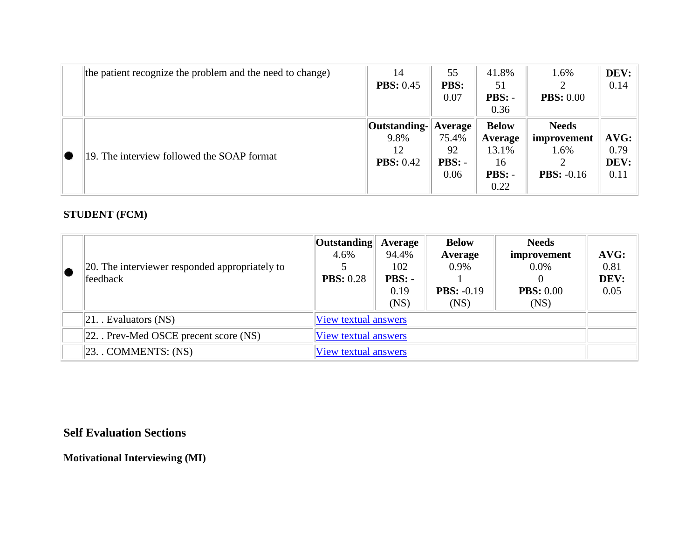| the patient recognize the problem and the need to change) | 14               | 55                  | 41.8%         | 1.6%                | DEV: |
|-----------------------------------------------------------|------------------|---------------------|---------------|---------------------|------|
|                                                           | <b>PBS:</b> 0.45 | <b>PBS:</b>         | 51            |                     | 0.14 |
|                                                           |                  | 0.07                | $\text{PBS:}$ | <b>PBS:</b> 0.00    |      |
|                                                           |                  |                     | 0.36          |                     |      |
|                                                           | Outstanding-     | $\mathbf{A}$ verage | <b>Below</b>  | <b>Needs</b>        |      |
|                                                           | 9.8%             | 75.4%               | Average       | improvement         | AVG: |
| 19. The interview followed the SOAP format                | 12               | 92                  | 13.1%         | 1.6%                | 0.79 |
|                                                           | <b>PBS:</b> 0.42 | $\text{PBS:}$       | 16            |                     | DEV: |
|                                                           |                  | 0.06                | PBS: -        | <b>PBS:</b> $-0.16$ | 0.11 |
|                                                           |                  |                     | 0.22          |                     |      |

#### **STUDENT (FCM)**

| 20. The interviewer responded appropriately to<br>feedback | <b>Outstanding</b><br>4.6%<br><b>PBS:</b> 0.28 | Average<br>94.4%<br>102<br>$\text{PBS:}$ -<br>0.19<br>(NS) | <b>Below</b><br>Average<br>0.9%<br><b>PBS:</b> $-0.19$<br>(NS) | <b>Needs</b><br>improvement<br>$0.0\%$<br>0<br><b>PBS:</b> 0.00<br>(NS) | AVG:<br>0.81<br>DEV:<br>0.05 |
|------------------------------------------------------------|------------------------------------------------|------------------------------------------------------------|----------------------------------------------------------------|-------------------------------------------------------------------------|------------------------------|
| $ 21$ . Evaluators (NS)                                    |                                                | View textual answers                                       |                                                                |                                                                         |                              |
| $ 22$ . Prev-Med OSCE precent score (NS)                   | View textual answers                           |                                                            |                                                                |                                                                         |                              |
| $ 23.$ . COMMENTS: $(NS)$                                  | <b>View textual answers</b>                    |                                                            |                                                                |                                                                         |                              |

## **Self Evaluation Sections**

**Motivational Interviewing (MI)**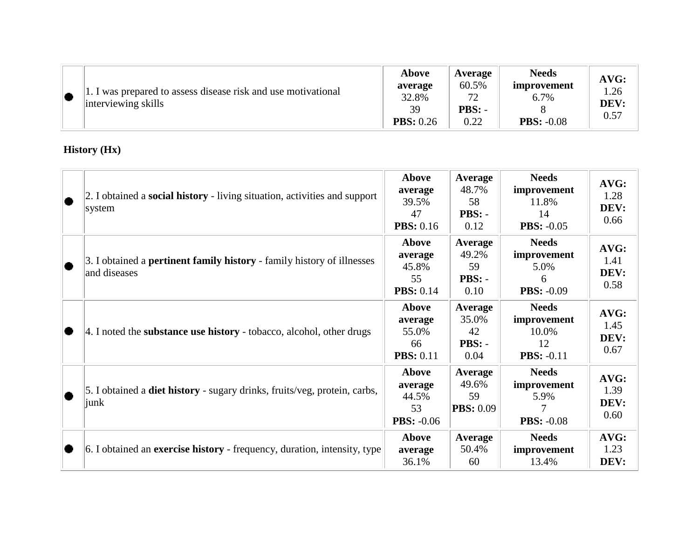|  | 1. I was prepared to assess disease risk and use motivational<br>interviewing skills | Above<br>average<br>32.8%<br>39<br><b>PBS:</b> 0.26 | Average<br>60.5%<br>72<br><b>PBS: -</b><br>0.22 | <b>Needs</b><br>improvement<br>6.7%<br><b>PBS: -0.08</b> | AVG:<br>.26<br>DEV:<br>0.57 |
|--|--------------------------------------------------------------------------------------|-----------------------------------------------------|-------------------------------------------------|----------------------------------------------------------|-----------------------------|
|--|--------------------------------------------------------------------------------------|-----------------------------------------------------|-------------------------------------------------|----------------------------------------------------------|-----------------------------|

## **History (Hx)**

| 2. I obtained a <b>social history</b> - living situation, activities and support<br>system    | Above<br>average<br>39.5%<br>47<br><b>PBS:</b> 0.16  | Average<br>48.7%<br>58<br>$\text{PBS:}$<br>0.12   | <b>Needs</b><br>improvement<br>11.8%<br>14<br><b>PBS: -0.05</b> | AVG:<br>1.28<br>DEV:<br>0.66 |
|-----------------------------------------------------------------------------------------------|------------------------------------------------------|---------------------------------------------------|-----------------------------------------------------------------|------------------------------|
| 3. I obtained a <b>pertinent family history</b> - family history of illnesses<br>and diseases | Above<br>average<br>45.8%<br>55<br><b>PBS:</b> 0.14  | Average<br>49.2%<br>59<br>$\text{PBS:}$ -<br>0.10 | <b>Needs</b><br>improvement<br>5.0%<br>6<br><b>PBS: -0.09</b>   | AVG:<br>1.41<br>DEV:<br>0.58 |
| 4. I noted the substance use history - tobacco, alcohol, other drugs                          | Above<br>average<br>55.0%<br>66<br><b>PBS: 0.11</b>  | Average<br>35.0%<br>42<br>$\text{PBS:}$ -<br>0.04 | <b>Needs</b><br>improvement<br>10.0%<br>12<br><b>PBS: -0.11</b> | AVG:<br>1.45<br>DEV:<br>0.67 |
| 5. I obtained a <b>diet history</b> - sugary drinks, fruits/veg, protein, carbs,<br> junk     | Above<br>average<br>44.5%<br>53<br><b>PBS: -0.06</b> | Average<br>49.6%<br>59<br><b>PBS:</b> 0.09        | <b>Needs</b><br>improvement<br>5.9%<br><b>PBS: -0.08</b>        | AVG:<br>1.39<br>DEV:<br>0.60 |
| 6. I obtained an <b>exercise history</b> - frequency, duration, intensity, type               | Above<br>average<br>36.1%                            | Average<br>50.4%<br>60                            | <b>Needs</b><br>improvement<br>13.4%                            | AVG:<br>1.23<br>DEV:         |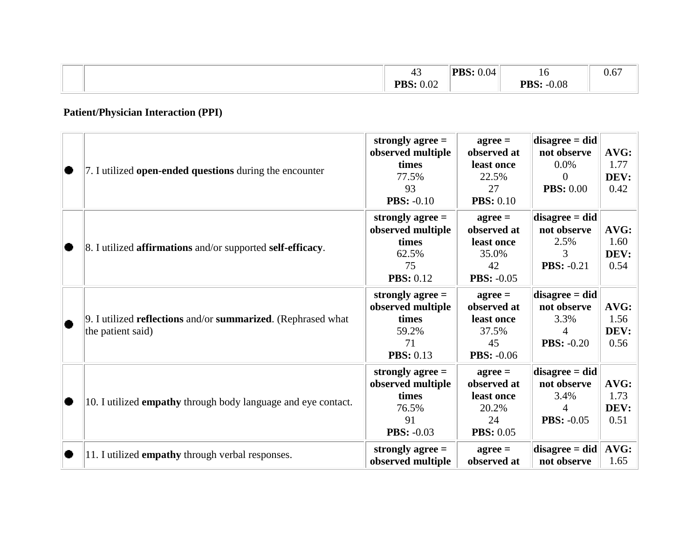|  | $\sim$<br>$+$                                                           | DDC.<br>0.04 | 10                     | $\sim$ $\sim$<br>0.67 |
|--|-------------------------------------------------------------------------|--------------|------------------------|-----------------------|
|  | $\Omega$<br>DD C.<br>0.02<br>$\mathbf{1} \mathbf{D} \mathbf{D} \bullet$ |              | $-0.08$<br>DDC.<br>'N. |                       |

# **Patient/Physician Interaction (PPI)**

|   | 7. I utilized open-ended questions during the encounter                           | strongly agree $=$<br>observed multiple<br>times<br>77.5%<br>93<br><b>PBS: -0.10</b> | $agree =$<br>observed at<br>least once<br>22.5%<br>27<br><b>PBS:</b> 0.10  | $disagree = did$<br>not observe<br>$0.0\%$<br>0<br><b>PBS:</b> 0.00 | AVG:<br>1.77<br>DEV:<br>0.42 |
|---|-----------------------------------------------------------------------------------|--------------------------------------------------------------------------------------|----------------------------------------------------------------------------|---------------------------------------------------------------------|------------------------------|
|   | 8. I utilized <b>affirmations</b> and/or supported <b>self-efficacy</b> .         | strongly agree $=$<br>observed multiple<br>times<br>62.5%<br>75<br><b>PBS: 0.12</b>  | $agree =$<br>observed at<br>least once<br>35.0%<br>42<br><b>PBS: -0.05</b> | $disagree = did$<br>not observe<br>2.5%<br>3<br><b>PBS: -0.21</b>   | AVG:<br>1.60<br>DEV:<br>0.54 |
|   | 9. I utilized reflections and/or summarized. (Rephrased what<br>the patient said) | strongly agree $=$<br>observed multiple<br>times<br>59.2%<br>71<br><b>PBS:</b> 0.13  | $agree =$<br>observed at<br>least once<br>37.5%<br>45<br><b>PBS: -0.06</b> | $disagree = did$<br>not observe<br>3.3%<br>4<br><b>PBS:</b> $-0.20$ | AVG:<br>1.56<br>DEV:<br>0.56 |
|   | 10. I utilized empathy through body language and eye contact.                     | strongly agree $=$<br>observed multiple<br>times<br>76.5%<br>91<br><b>PBS: -0.03</b> | $agree =$<br>observed at<br>least once<br>20.2%<br>24<br><b>PBS: 0.05</b>  | $disagree = did$<br>not observe<br>3.4%<br>Δ<br><b>PBS: -0.05</b>   | AVG:<br>1.73<br>DEV:<br>0.51 |
| о | 11. I utilized <b>empathy</b> through verbal responses.                           | strongly agree $=$<br>observed multiple                                              | $agree =$<br>observed at                                                   | $disagree = did$<br>not observe                                     | AVG:<br>1.65                 |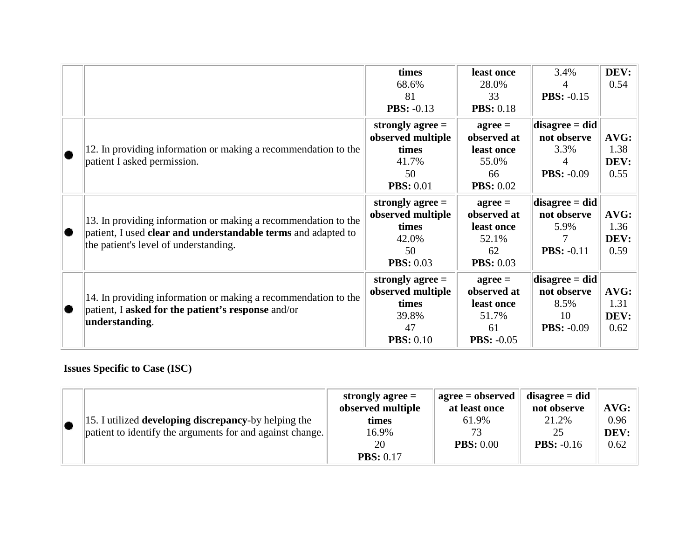|                                                                                                                                                                          | times<br>68.6%<br>81<br><b>PBS: -0.13</b>                                           | least once<br>28.0%<br>33<br><b>PBS:</b> 0.18                                    | 3.4%<br>4<br><b>PBS: -0.15</b>                                       | DEV:<br>0.54                 |
|--------------------------------------------------------------------------------------------------------------------------------------------------------------------------|-------------------------------------------------------------------------------------|----------------------------------------------------------------------------------|----------------------------------------------------------------------|------------------------------|
| 12. In providing information or making a recommendation to the<br>patient I asked permission.                                                                            | strongly agree $=$<br>observed multiple<br>times<br>41.7%<br>50<br><b>PBS: 0.01</b> | $agree =$<br>observed at<br>least once<br>55.0%<br>66<br><b>PBS: 0.02</b>        | $disagree = did$<br>not observe<br>3.3%<br>4<br><b>PBS:</b> $-0.09$  | AVG:<br>1.38<br>DEV:<br>0.55 |
| 13. In providing information or making a recommendation to the<br>patient, I used clear and understandable terms and adapted to<br>the patient's level of understanding. | strongly agree $=$<br>observed multiple<br>times<br>42.0%<br>50<br><b>PBS: 0.03</b> | $a\text{gree} =$<br>observed at<br>least once<br>52.1%<br>62<br><b>PBS:</b> 0.03 | $disagree = did$<br>not observe<br>5.9%<br><b>PBS: -0.11</b>         | AVG:<br>1.36<br>DEV:<br>0.59 |
| 14. In providing information or making a recommendation to the<br>patient, I asked for the patient's response and/or<br>understanding.                                   | strongly agree $=$<br>observed multiple<br>times<br>39.8%<br>47<br><b>PBS:</b> 0.10 | $agree =$<br>observed at<br>least once<br>51.7%<br>61<br><b>PBS: -0.05</b>       | $disagree = did$<br>not observe<br>8.5%<br>10<br><b>PBS:</b> $-0.09$ | AVG:<br>1.31<br>DEV:<br>0.62 |

# **Issues Specific to Case (ISC)**

|                                                              | strongly agree $=$<br>observed multiple | $agree = observed$<br>at least once | $disagree = did$<br>not observe | AVG: |
|--------------------------------------------------------------|-----------------------------------------|-------------------------------------|---------------------------------|------|
| 15. I utilized <b>developing discrepancy</b> -by helping the | times                                   | 61.9%                               | 21.2%                           | 0.96 |
| patient to identify the arguments for and against change.    | 16.9%                                   | 73                                  | 25                              | DEV: |
|                                                              | 20                                      | <b>PBS:</b> 0.00                    | <b>PBS:</b> $-0.16$             | 0.62 |
|                                                              | <b>PBS:</b> 0.17                        |                                     |                                 |      |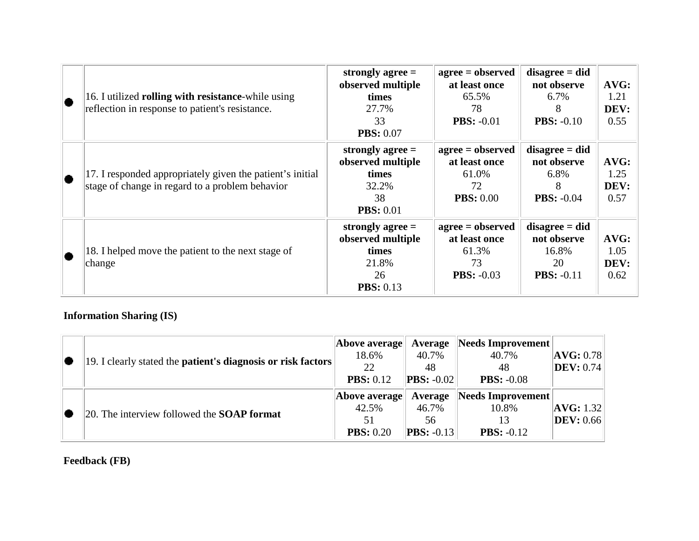| $\bullet$ | 16. I utilized rolling with resistance-while using<br>reflection in response to patient's resistance.        | strongly agree $=$<br>observed multiple<br>times<br>27.7%<br>33<br><b>PBS: 0.07</b> | $agree = observed$<br>at least once<br>65.5%<br>78<br><b>PBS: -0.01</b>   | $disagree = did$<br>not observe<br>6.7%<br>8<br><b>PBS:</b> $-0.10$   | AVG:<br>1.21<br>DEV:<br>0.55 |
|-----------|--------------------------------------------------------------------------------------------------------------|-------------------------------------------------------------------------------------|---------------------------------------------------------------------------|-----------------------------------------------------------------------|------------------------------|
| $\bullet$ | 17. I responded appropriately given the patient's initial<br>stage of change in regard to a problem behavior | strongly agree $=$<br>observed multiple<br>times<br>32.2%<br>38<br><b>PBS: 0.01</b> | $agree = observed$<br>at least once<br>61.0%<br>72<br><b>PBS: 0.00</b>    | $disagree = did$<br>not observe<br>6.8%<br>8<br><b>PBS: -0.04</b>     | AVG:<br>1.25<br>DEV:<br>0.57 |
|           | 18. I helped move the patient to the next stage of<br>change                                                 | strongly agree $=$<br>observed multiple<br>times<br>21.8%<br>26<br><b>PBS:</b> 0.13 | $agree = observed$<br>at least once<br>61.3%<br>73<br><b>PBS:</b> $-0.03$ | $disagree = did$<br>not observe<br>16.8%<br>20<br><b>PBS:</b> $-0.11$ | AVG:<br>1.05<br>DEV:<br>0.62 |

## **Information Sharing (IS)**

| 19. I clearly stated the <b>patient's diagnosis or risk factors</b> | Above average<br>18.6%<br>22<br><b>PBS:</b> 0.12 | Average<br>40.7%<br>48<br>$\vert$ <b>PBS:</b> -0.02 | Needs Improvement<br>40.7%<br>48<br><b>PBS: -0.08</b> | $ {\rm AVG:0.78} $<br>$\vert$ DEV: 0.74 |
|---------------------------------------------------------------------|--------------------------------------------------|-----------------------------------------------------|-------------------------------------------------------|-----------------------------------------|
| $ 20$ . The interview followed the <b>SOAP format</b>               | Above average<br>42.5%<br>51<br><b>PBS:</b> 0.20 | Average<br>46.7%<br>56<br><b>PBS:</b> $-0.13$       | Needs Improvement<br>10.8%<br><b>PBS:</b> $-0.12$     | AVG: 1.32 <br>$\vert$ DEV: 0.66 $\vert$ |

# **Feedback (FB)**